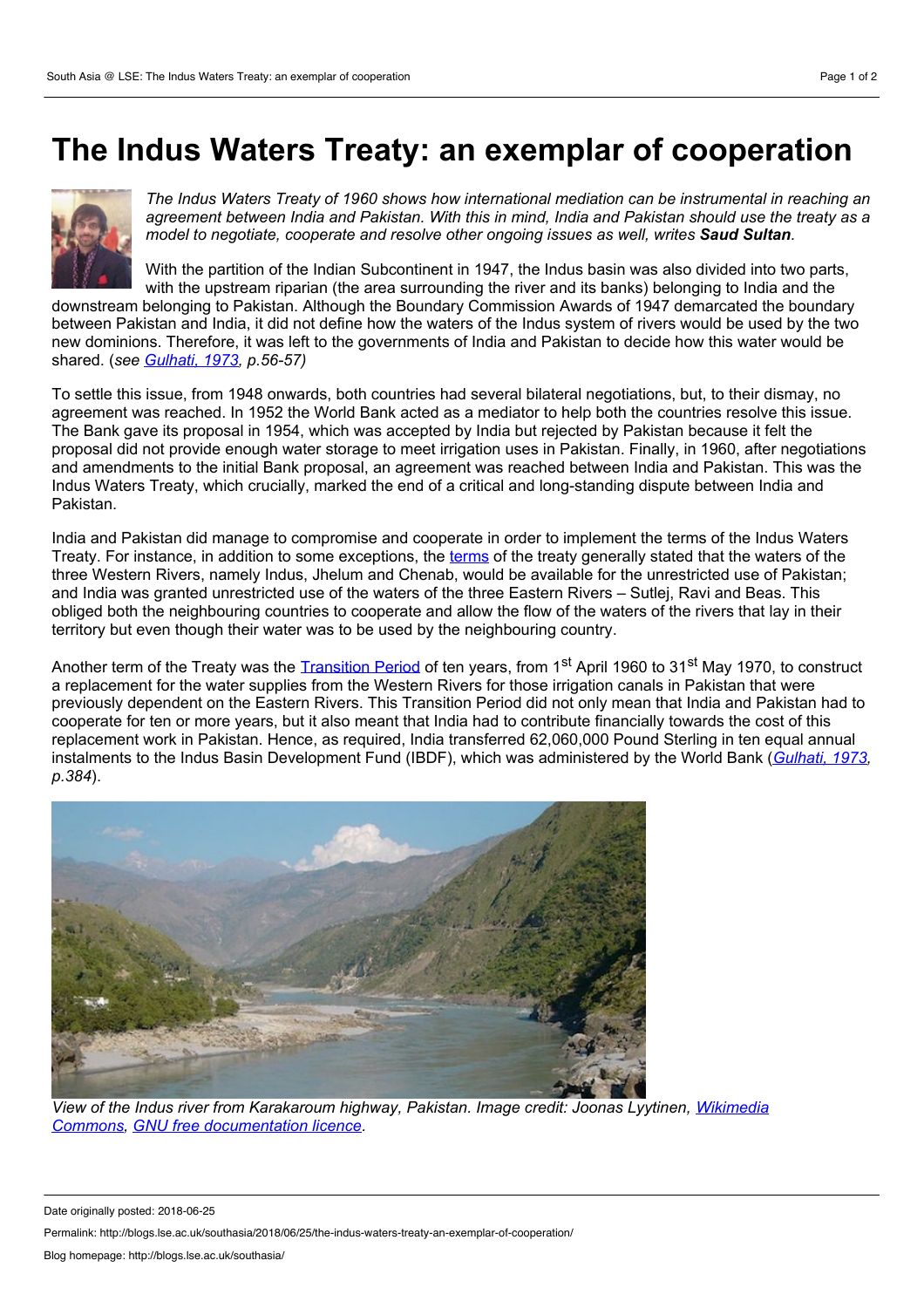## **The Indus Waters Treaty: an exemplar of cooperation**



*The Indus Waters Treaty of 1960 shows how international mediation can be instrumental in reaching an* agreement between India and Pakistan. With this in mind, India and Pakistan should use the treaty as a *model to negotiate, cooperate and resolve other ongoing issues as well, writes Saud Sultan.*

With the partition of the Indian Subcontinent in 1947, the Indus basin was also divided into two parts, with the upstream riparian (the area surrounding the river and its banks) belonging to India and the

downstream belonging to Pakistan. Although the Boundary Commission Awards of 1947 demarcated the boundary between Pakistan and India, it did not define how the waters of the Indus system of rivers would be used by the two new dominions. Therefore, it was leftto the governments of India and Pakistan to decide how this water would be shared. (*see [Gulhati,](https://catalog.princeton.edu/catalog/1345481) 1973, p.56-57)*

To settle this issue, from 1948 onwards, both countries had several bilateral negotiations, but, to their dismay, no agreement was reached. In 1952 the World Bank acted as a mediator to help both the countries resolve this issue. The Bank gave its proposal in 1954, which was accepted by India but rejected by Pakistan because it felt the proposal did not provide enough water storage to meet irrigation uses in Pakistan. Finally, in 1960, after negotiations and amendments to the initial Bank proposal, an agreement was reached between India and Pakistan. This was the Indus Waters Treaty, which crucially, marked the end of a critical and long-standing dispute between India and Pakistan.

India and Pakistan did manage to compromise and cooperate in order to implement the terms of the Indus Waters Treaty. For instance, in addition to some exceptions, the [terms](https://siteresources.worldbank.org/INTSOUTHASIA/Resources/223497-1105737253588/IndusWatersTreaty1960.pdf) of the treaty generally stated that the waters of the three Western Rivers, namely Indus, Jhelum and Chenab, would be available for the unrestricted use of Pakistan; and India was granted unrestricted use of the waters of the three Eastern Rivers – Sutlej, Ravi and Beas. This obliged both the neighbouring countries to cooperate and allow the flow of the waters of the rivers that lay in their territory but even though their water was to be used by the neighbouring country.

Another term of the Treaty was the <u>[Transition](https://treaties.un.org/doc/Publication/UNTS/Volume 419/volume-419-I-6032-English.pdf) Period</u> of ten years, from 1<sup>st</sup> April 1960 to 31<sup>st</sup> May 1970, to construct a replacement for the water supplies from the Western Rivers for those irrigation canals in Pakistan that were previously dependent on the Eastern Rivers. This Transition Period did not only mean that India and Pakistan had to cooperate for ten or more years, but it also meant that India had to contribute financially towards the cost of this replacement work in Pakistan. Hence, as required, India transferred 62,060,000 Pound Sterling in ten equal annual instalments to the Indus Basin Development Fund (IBDF), which was administered by the World Bank (*[Gulhati,](https://catalog.princeton.edu/catalog/1345481) 1973, p.384*).



*View of the Indus river from Karakaroum highway, Pakistan. Image credit: Joonas Lyytinen, Wikimedia Commons, GNU free [documentation](https://commons.wikimedia.org/wiki/Indus_River#/media/File:Indus_river_from_karakouram_highway.jpg) licence.*

Date originally posted: 2018-06-25

Permalink: http://blogs.lse.ac.uk/southasia/2018/06/25/the-indus-waters-treaty-an-exemplar-of-cooperation/